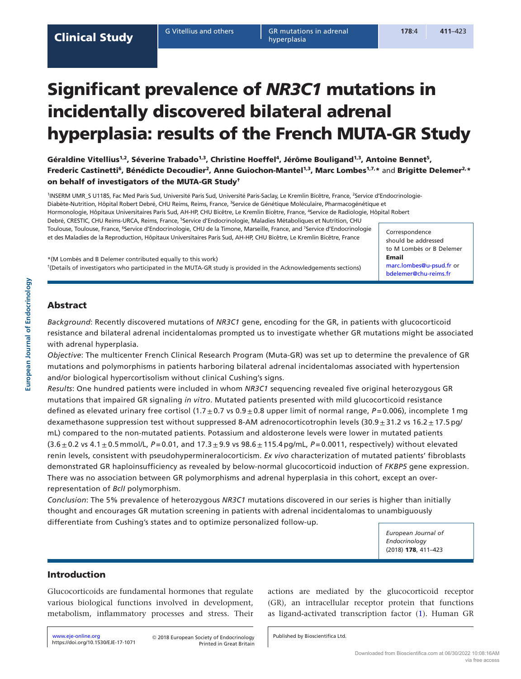# Significant prevalence of *NR3C1* mutations in incidentally discovered bilateral adrenal hyperplasia: results of the French MUTA-GR Study

Géraldine Vitellius<sup>1,2</sup>, Séverine Trabado<sup>1,3</sup>, Christine Hoeffel<sup>4</sup>, Jérôme Bouligand<sup>1,3</sup>, Antoine Bennet<sup>5</sup>, Frederic Castinetti<sup>6</sup>, Bénédicte Decoudier<sup>2</sup>, Anne Guiochon-Mantel<sup>1,3</sup>, Marc Lombes<sup>1,7,</sup>\* and Brigitte Delemer<sup>2,</sup>\* on behalf of investigators of the MUTA-GR Study†

<sup>1</sup>INSERM UMR\_S U1185, Fac Med Paris Sud, Université Paris Sud, Université Paris-Saclay, Le Kremlin Bicêtre, France, <sup>2</sup>Service d'Endocrinologie-Diabète-Nutrition, Hôpital Robert Debré, CHU Reims, Reims, France, <sup>3</sup>Service de Génétique Moléculaire, Pharmacogénétique et Hormonologie, Hôpitaux Universitaires Paris Sud, AH-HP, CHU Bicêtre, Le Kremlin Bicêtre, France, 4 Service de Radiologie, Hôpital Robert Debré, CRESTIC, CHU Reims-URCA, Reims, France, <sup>5</sup>Service d'Endocrinologie, Maladies Métaboliques et Nutrition, CHU Toulouse, Toulouse, France, <sup>6</sup>Service d'Endocrinologie, CHU de la Timone, Marseille, France, and <sup>7</sup>Service d'Endocrinologie et des Maladies de la Reproduction, Hôpitaux Universitaires Paris Sud, AH-HP, CHU Bicêtre, Le Kremlin Bicêtre, France

\*(M Lombès and B Delemer contributed equally to this work) †(Details of investigators who participated in the MUTA-GR study is provided in the Acknowledgements sections) Correspondence should be addressed to M Lombès or B Delemer Email [marc.lombes@u-psud.fr](mailto:marc.lombes@u-psud.fr) or [bdelemer@chu-reims.fr](mailto:bdelemer@chu-reims.fr)

# Abstract

**European Journal of Endocrinology**

European Journal of Endocrinology

*Background*: Recently discovered mutations of *NR3C1* gene, encoding for the GR, in patients with glucocorticoid resistance and bilateral adrenal incidentalomas prompted us to investigate whether GR mutations might be associated with adrenal hyperplasia.

*Objective*: The multicenter French Clinical Research Program (Muta-GR) was set up to determine the prevalence of GR mutations and polymorphisms in patients harboring bilateral adrenal incidentalomas associated with hypertension and/or biological hypercortisolism without clinical Cushing's signs.

*Results*: One hundred patients were included in whom *NR3C1* sequencing revealed five original heterozygous GR mutations that impaired GR signaling *in vitro*. Mutated patients presented with mild glucocorticoid resistance defined as elevated urinary free cortisol (1.7 $\pm$ 0.7 vs 0.9 $\pm$ 0.8 upper limit of normal range,  $P=0.006$ ), incomplete 1 mg dexamethasone suppression test without suppressed 8-AM adrenocorticotrophin levels (30.9 $\pm$ 31.2 vs 16.2 $\pm$ 17.5 pg/ mL) compared to the non-mutated patients. Potassium and aldosterone levels were lower in mutated patients  $(3.6 \pm 0.2 \text{ vs } 4.1 \pm 0.5 \text{ mmol/L}, P = 0.01, \text{ and } 17.3 \pm 9.9 \text{ vs } 98.6 \pm 115.4 \text{ pg/mL}, P = 0.0011, \text{ respectively}$  without elevated renin levels, consistent with pseudohypermineralocorticism. *Ex vivo* characterization of mutated patients' fibroblasts demonstrated GR haploinsufficiency as revealed by below-normal glucocorticoid induction of *FKBP5* gene expression. There was no association between GR polymorphisms and adrenal hyperplasia in this cohort, except an overrepresentation of *BclI* polymorphism.

*Conclusion*: The 5% prevalence of heterozygous *NR3C1* mutations discovered in our series is higher than initially thought and encourages GR mutation screening in patients with adrenal incidentalomas to unambiguously differentiate from Cushing's states and to optimize personalized follow-up.

> *European Journal of Endocrinology*  (2018) 178, 411–423

# Introduction

Glucocorticoids are fundamental hormones that regulate various biological functions involved in development, metabolism, inflammatory processes and stress. Their actions are mediated by the glucocorticoid receptor (GR), an intracellular receptor protein that functions as ligand-activated transcription factor [\(1\)](#page-11-0). Human GR

<https://doi.org/10.1530/EJE-17-1071> [www.eje](http://www.eje-online.org)-online.org

Printed in Great Britain © 2018 European Society of Endocrinology

Published by Bioscientifica Ltd.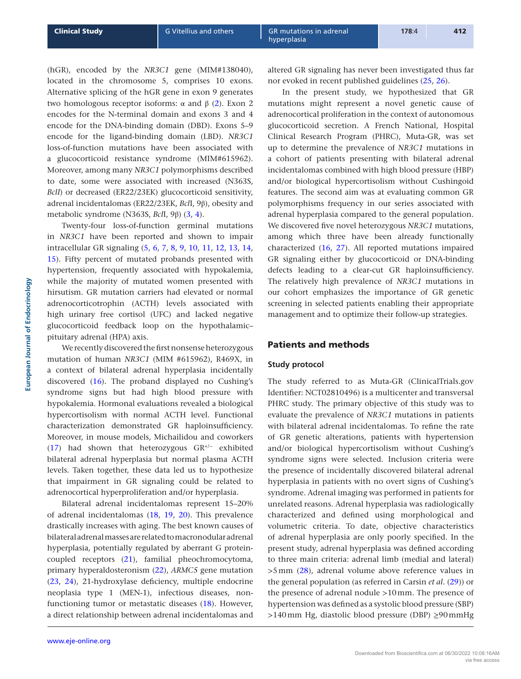(hGR), encoded by the *NR3C1* gene (MIM#138040), located in the chromosome 5, comprises 10 exons. Alternative splicing of the hGR gene in exon 9 generates two homologous receptor isoforms: α and β [\(2](#page-11-1)). Exon 2 encodes for the N-terminal domain and exons 3 and 4 encode for the DNA-binding domain (DBD). Exons 5–9 encode for the ligand-binding domain (LBD). *NR3C1* loss-of-function mutations have been associated with a glucocorticoid resistance syndrome (MIM#615962). Moreover, among many *NR3C1* polymorphisms described to date, some were associated with increased (N363S, *BclI*) or decreased (ER22/23EK) glucocorticoid sensitivity, adrenal incidentalomas (ER22/23EK, *Bcl*I, 9β), obesity and metabolic syndrome (N363S, *Bcl*I, 9β) ([3](#page-11-2), [4](#page-11-3)).

Twenty-four loss-of-function germinal mutations in *NR3C1* have been reported and shown to impair intracellular GR signaling [\(5,](#page-11-4) [6](#page-11-5), [7,](#page-11-6) [8,](#page-11-7) [9](#page-11-8), [10](#page-11-9), [11,](#page-11-10) [12](#page-11-11), [13](#page-11-12), [14,](#page-11-13) [15\)](#page-11-14). Fifty percent of mutated probands presented with hypertension, frequently associated with hypokalemia, while the majority of mutated women presented with hirsutism. GR mutation carriers had elevated or normal adrenocorticotrophin (ACTH) levels associated with high urinary free cortisol (UFC) and lacked negative glucocorticoid feedback loop on the hypothalamic– pituitary adrenal (HPA) axis.

We recently discovered the first nonsense heterozygous mutation of human *NR3C1* (MIM #615962), R469X, in a context of bilateral adrenal hyperplasia incidentally discovered ([16\)](#page-11-15). The proband displayed no Cushing's syndrome signs but had high blood pressure with hypokalemia. Hormonal evaluations revealed a biological hypercortisolism with normal ACTH level. Functional characterization demonstrated GR haploinsufficiency. Moreover, in mouse models, Michailidou and coworkers [\(17\)](#page-11-16) had shown that heterozygous GR+/<sup>−</sup> exhibited bilateral adrenal hyperplasia but normal plasma ACTH levels. Taken together, these data led us to hypothesize that impairment in GR signaling could be related to adrenocortical hyperproliferation and/or hyperplasia.

Bilateral adrenal incidentalomas represent 15–20% of adrenal incidentalomas ([18](#page-11-17), [19](#page-11-18), [20](#page-11-19)). This prevalence drastically increases with aging. The best known causes of bilateral adrenal masses are related to macronodular adrenal hyperplasia, potentially regulated by aberrant G proteincoupled receptors [\(21](#page-11-20)), familial pheochromocytoma, primary hyperaldosteronism [\(22\)](#page-11-21), *ARMC5* gene mutation [\(23,](#page-11-22) [24](#page-11-23)), 21-hydroxylase deficiency, multiple endocrine neoplasia type 1 (MEN-1), infectious diseases, nonfunctioning tumor or metastatic diseases [\(18\)](#page-11-17). However, a direct relationship between adrenal incidentalomas and

altered GR signaling has never been investigated thus far nor evoked in recent published guidelines ([25](#page-11-24), [26\)](#page-12-0).

In the present study, we hypothesized that GR mutations might represent a novel genetic cause of adrenocortical proliferation in the context of autonomous glucocorticoid secretion. A French National, Hospital Clinical Research Program (PHRC), Muta-GR, was set up to determine the prevalence of *NR3C1* mutations in a cohort of patients presenting with bilateral adrenal incidentalomas combined with high blood pressure (HBP) and/or biological hypercortisolism without Cushingoid features. The second aim was at evaluating common GR polymorphisms frequency in our series associated with adrenal hyperplasia compared to the general population. We discovered five novel heterozygous *NR3C1* mutations, among which three have been already functionally characterized [\(16](#page-11-15), [27\)](#page-12-1). All reported mutations impaired GR signaling either by glucocorticoid or DNA-binding defects leading to a clear-cut GR haploinsufficiency. The relatively high prevalence of *NR3C1* mutations in our cohort emphasizes the importance of GR genetic screening in selected patients enabling their appropriate management and to optimize their follow-up strategies.

# Patients and methods

#### **Study protocol**

The study referred to as Muta-GR (ClinicalTrials.gov Identifier: NCT02810496) is a multicenter and transversal PHRC study. The primary objective of this study was to evaluate the prevalence of *NR3C1* mutations in patients with bilateral adrenal incidentalomas. To refine the rate of GR genetic alterations, patients with hypertension and/or biological hypercortisolism without Cushing's syndrome signs were selected. Inclusion criteria were the presence of incidentally discovered bilateral adrenal hyperplasia in patients with no overt signs of Cushing's syndrome. Adrenal imaging was performed in patients for unrelated reasons. Adrenal hyperplasia was radiologically characterized and defined using morphological and volumetric criteria. To date, objective characteristics of adrenal hyperplasia are only poorly specified. In the present study, adrenal hyperplasia was defined according to three main criteria: adrenal limb (medial and lateral) >5mm [\(28\)](#page-12-2), adrenal volume above reference values in the general population (as referred in Carsin *et al.* [\(29\)](#page-12-3)) or the presence of adrenal nodule >10mm. The presence of hypertension was defined as a systolic blood pressure (SBP) >140mm Hg, diastolic blood pressure (DBP) ≥90mmHg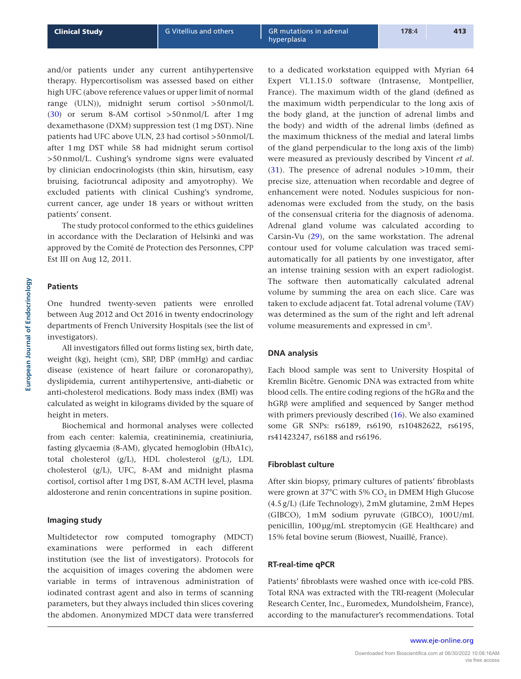and/or patients under any current antihypertensive therapy. Hypercortisolism was assessed based on either high UFC (above reference values or upper limit of normal range (ULN)), midnight serum cortisol >50nmol/L ([30](#page-12-4)) or serum 8-AM cortisol >50nmol/L after 1mg dexamethasone (DXM) suppression test (1mg DST). Nine patients had UFC above ULN, 23 had cortisol >50nmol/L after 1mg DST while 58 had midnight serum cortisol >50nmol/L. Cushing's syndrome signs were evaluated by clinician endocrinologists (thin skin, hirsutism, easy bruising, faciotruncal adiposity and amyotrophy). We excluded patients with clinical Cushing's syndrome, current cancer, age under 18 years or without written patients' consent.

The study protocol conformed to the ethics guidelines in accordance with the Declaration of Helsinki and was approved by the Comité de Protection des Personnes, CPP Est III on Aug 12, 2011.

## **Patients**

One hundred twenty-seven patients were enrolled between Aug 2012 and Oct 2016 in twenty endocrinology departments of French University Hospitals (see the list of investigators).

All investigators filled out forms listing sex, birth date, weight (kg), height (cm), SBP, DBP (mmHg) and cardiac disease (existence of heart failure or coronaropathy), dyslipidemia, current antihypertensive, anti-diabetic or anti-cholesterol medications. Body mass index (BMI) was calculated as weight in kilograms divided by the square of height in meters.

Biochemical and hormonal analyses were collected from each center: kalemia, creatininemia, creatiniuria, fasting glycaemia (8-AM), glycated hemoglobin (HbA1c), total cholesterol (g/L), HDL cholesterol (g/L), LDL cholesterol (g/L), UFC, 8-AM and midnight plasma cortisol, cortisol after 1mg DST, 8-AM ACTH level, plasma aldosterone and renin concentrations in supine position.

## **Imaging study**

Multidetector row computed tomography (MDCT) examinations were performed in each different institution (see the list of investigators). Protocols for the acquisition of images covering the abdomen were variable in terms of intravenous administration of iodinated contrast agent and also in terms of scanning parameters, but they always included thin slices covering the abdomen. Anonymized MDCT data were transferred

to a dedicated workstation equipped with Myrian 64 Expert VL1.15.0 software (Intrasense, Montpellier, France). The maximum width of the gland (defined as the maximum width perpendicular to the long axis of the body gland, at the junction of adrenal limbs and the body) and width of the adrenal limbs (defined as the maximum thickness of the medial and lateral limbs of the gland perpendicular to the long axis of the limb) were measured as previously described by Vincent *et al.*  $(31)$  $(31)$  $(31)$ . The presence of adrenal nodules >10mm, their precise size, attenuation when recordable and degree of enhancement were noted. Nodules suspicious for nonadenomas were excluded from the study, on the basis of the consensual criteria for the diagnosis of adenoma. Adrenal gland volume was calculated according to Carsin-Vu ([29](#page-12-3)), on the same workstation. The adrenal contour used for volume calculation was traced semiautomatically for all patients by one investigator, after an intense training session with an expert radiologist. The software then automatically calculated adrenal volume by summing the area on each slice. Care was taken to exclude adjacent fat. Total adrenal volume (TAV) was determined as the sum of the right and left adrenal volume measurements and expressed in cm3.

#### **DNA analysis**

Each blood sample was sent to University Hospital of Kremlin Bicêtre. Genomic DNA was extracted from white blood cells. The entire coding regions of the hGRα and the hGRβ were amplified and sequenced by Sanger method with primers previously described [\(16\)](#page-11-15). We also examined some GR SNPs: rs6189, rs6190, rs10482622, rs6195, rs41423247, rs6188 and rs6196.

#### **Fibroblast culture**

After skin biopsy, primary cultures of patients' fibroblasts were grown at  $37^{\circ}$ C with 5% CO<sub>2</sub> in DMEM High Glucose (4.5g/L) (Life Technology), 2mM glutamine, 2mM Hepes (GIBCO), 1mM sodium pyruvate (GIBCO), 100U/mL penicillin, 100µg/mL streptomycin (GE Healthcare) and 15% fetal bovine serum (Biowest, Nuaillé, France).

#### **RT-real-time qPCR**

Patients' fibroblasts were washed once with ice-cold PBS. Total RNA was extracted with the TRI-reagent (Molecular Research Center, Inc., Euromedex, Mundolsheim, France), according to the manufacturer's recommendations. Total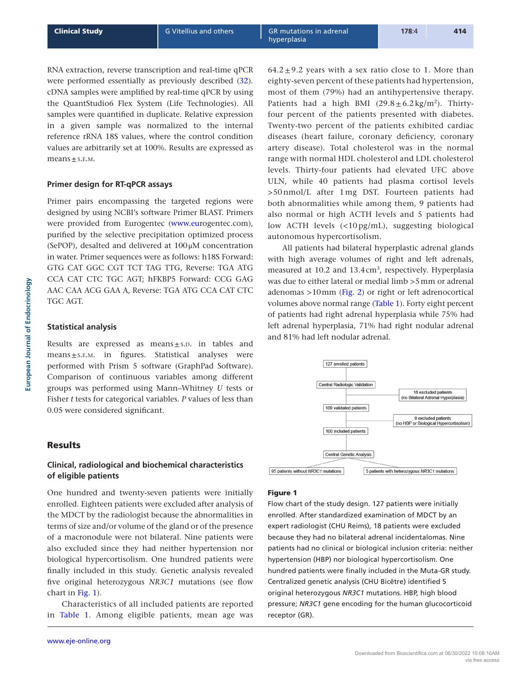RNA extraction, reverse transcription and real-time qPCR were performed essentially as previously described [\(32](#page-12-6)). cDNA samples were amplified by real-time qPCR by using the QuantStudio6 Flex System (Life Technologies). All samples were quantified in duplicate. Relative expression in a given sample was normalized to the internal reference rRNA 18S values, where the control condition values are arbitrarily set at 100%. Results are expressed as means $±$ s.e.m.

# **Primer design for RT-qPCR assays**

Primer pairs encompassing the targeted regions were designed by using NCBI's software Primer BLAST. Primers were provided from Eurogentec [\(www.eur](http://www.eurogentec.com)ogentec.com), purified by the selective precipitation optimized process (SePOP), desalted and delivered at 100μM concentration in water. Primer sequences were as follows: h18S Forward: GTG CAT GGC CGT TCT TAG TTG, Reverse: TGA ATG CCA CAT CTC TGC AGT; hFKBP5 Forward: CCG GAG AAC CAA ACG GAA A, Reverse: TGA ATG CCA CAT CTC TGC AGT.

# **Statistical analysis**

Results are expressed as means $\pm$ s.p. in tables and means±s.e.m. in figures. Statistical analyses were performed with Prism 5 software (GraphPad Software). Comparison of continuous variables among different groups was performed using Mann–Whitney *U* tests or Fisher *t* tests for categorical variables. *P* values of less than 0.05 were considered significant.

# Results

# **Clinical, radiological and biochemical characteristics of eligible patients**

One hundred and twenty-seven patients were initially enrolled. Eighteen patients were excluded after analysis of the MDCT by the radiologist because the abnormalities in terms of size and/or volume of the gland or of the presence of a macronodule were not bilateral. Nine patients were also excluded since they had neither hypertension nor biological hypercortisolism. One hundred patients were finally included in this study. Genetic analysis revealed five original heterozygous *NR3C1* mutations (see flow chart in Fig. 1).

Characteristics of all included patients are reported in [Table 1.](#page-4-0) Among eligible patients, mean age was  $64.2 \pm 9.2$  years with a sex ratio close to 1. More than

eighty-seven percent of these patients had hypertension, most of them (79%) had an antihypertensive therapy. Patients had a high BMI  $(29.8 \pm 6.2 \text{ kg/m}^2)$ . Thirtyfour percent of the patients presented with diabetes. Twenty-two percent of the patients exhibited cardiac diseases (heart failure, coronary deficiency, coronary artery disease). Total cholesterol was in the normal range with normal HDL cholesterol and LDL cholesterol levels. Thirty-four patients had elevated UFC above ULN, while 40 patients had plasma cortisol levels >50 nmol/L after 1 mg DST. Fourteen patients had both abnormalities while among them, 9 patients had also normal or high ACTH levels and 5 patients had low ACTH levels (<10 pg/mL), suggesting biological autonomous hypercortisolism.

All patients had bilateral hyperplastic adrenal glands with high average volumes of right and left adrenals, measured at 10.2 and 13.4 cm<sup>3</sup>, respectively. Hyperplasia was due to either lateral or medial limb >5mm or adrenal adenomas >10mm ([Fig. 2](#page-4-0)) or right or left adrenocortical volumes above normal range ([Table 1\)](#page-4-0). Forty eight percent of patients had right adrenal hyperplasia while 75% had left adrenal hyperplasia, 71% had right nodular adrenal and 81% had left nodular adrenal.



## Figure 1

Flow chart of the study design. 127 patients were initially enrolled. After standardized examination of MDCT by an expert radiologist (CHU Reims), 18 patients were excluded because they had no bilateral adrenal incidentalomas. Nine patients had no clinical or biological inclusion criteria: neither hypertension (HBP) nor biological hypercortisolism. One hundred patients were finally included in the Muta-GR study. Centralized genetic analysis (CHU Bicêtre) identified 5 original heterozygous *NR3C1* mutations. HBP, high blood pressure; *NR3C1* gene encoding for the human glucocorticoid receptor (GR).

**European Journal of Endocrinology**

European Journal of Endocrinology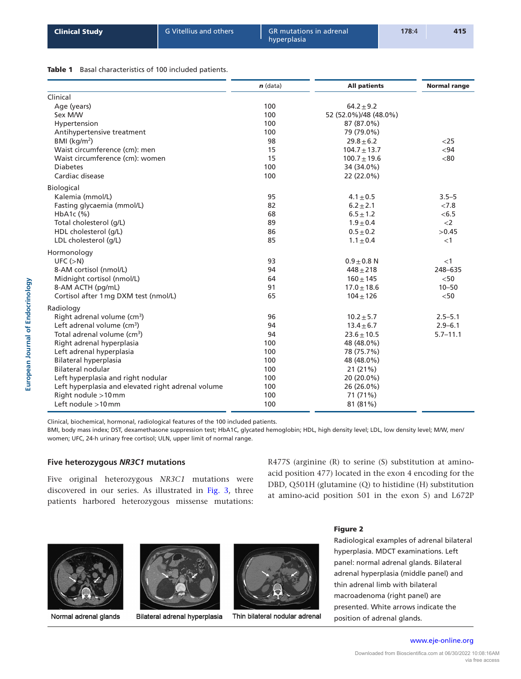## <span id="page-4-0"></span>Table 1 Basal characteristics of 100 included patients.

|                                                    | $n$ (data) | <b>All patients</b>   | <b>Normal range</b> |
|----------------------------------------------------|------------|-----------------------|---------------------|
| Clinical                                           |            |                       |                     |
| Age (years)                                        | 100        | $64.2 + 9.2$          |                     |
| Sex M/W                                            | 100        | 52 (52.0%)/48 (48.0%) |                     |
| Hypertension                                       | 100        | 87 (87.0%)            |                     |
| Antihypertensive treatment                         | 100        | 79 (79.0%)            |                     |
| BMI ( $kg/m2$ )                                    | 98         | $29.8 + 6.2$          | $<$ 25              |
| Waist circumference (cm): men                      | 15         | $104.7 \pm 13.7$      | $94$                |
| Waist circumference (cm): women                    | 15         | $100.7 \pm 19.6$      | < 80                |
| <b>Diabetes</b>                                    | 100        | 34 (34.0%)            |                     |
| Cardiac disease                                    | 100        | 22 (22.0%)            |                     |
| Biological                                         |            |                       |                     |
| Kalemia (mmol/L)                                   | 95         | $4.1 \pm 0.5$         | $3.5 - 5$           |
| Fasting glycaemia (mmol/L)                         | 82         | $6.2 \pm 2.1$         | < 7.8               |
| HbA <sub>1</sub> c $(\%)$                          | 68         | $6.5 \pm 1.2$         | < 6.5               |
| Total cholesterol (g/L)                            | 89         | $1.9 \pm 0.4$         | $<$ 2               |
| HDL cholesterol (g/L)                              | 86         | $0.5 + 0.2$           | >0.45               |
| LDL cholesterol (q/L)                              | 85         | $1.1 \pm 0.4$         | <1                  |
| Hormonology                                        |            |                       |                     |
| UFC (>N)                                           | 93         | $0.9 + 0.8$ N         | $<$ 1               |
| 8-AM cortisol (nmol/L)                             | 94         | $448 + 218$           | 248-635             |
| Midnight cortisol (nmol/L)                         | 64         | $160 + 145$           | < 50                |
| 8-AM ACTH (pg/mL)                                  | 91         | $17.0 \pm 18.6$       | $10 - 50$           |
| Cortisol after 1 mg DXM test (nmol/L)              | 65         | $104 \pm 126$         | $<$ 50              |
| Radiology                                          |            |                       |                     |
| Right adrenal volume (cm <sup>3</sup> )            | 96         | $10.2 + 5.7$          | $2.5 - 5.1$         |
| Left adrenal volume $(cm3)$                        | 94         | $13.4 \pm 6.7$        | $2.9 - 6.1$         |
| Total adrenal volume (cm <sup>3</sup> )            | 94         | $23.6 \pm 10.5$       | $5.7 - 11.1$        |
| Right adrenal hyperplasia                          | 100        | 48 (48.0%)            |                     |
| Left adrenal hyperplasia                           | 100        | 78 (75.7%)            |                     |
| Bilateral hyperplasia                              | 100        | 48 (48.0%)            |                     |
| Bilateral nodular                                  | 100        | 21 (21%)              |                     |
| Left hyperplasia and right nodular                 | 100        | 20 (20.0%)            |                     |
| Left hyperplasia and elevated right adrenal volume | 100        | 26 (26.0%)            |                     |
| Right nodule >10mm                                 | 100        | 71 (71%)              |                     |
| Left nodule >10mm                                  | 100        | 81 (81%)              |                     |

Clinical, biochemical, hormonal, radiological features of the 100 included patients.

BMI, body mass index; DST, dexamethasone suppression test; HbA1C, glycated hemoglobin; HDL, high density level; LDL, low density level; M/W, men/ women; UFC, 24-h urinary free cortisol; ULN, upper limit of normal range.

# **Five heterozygous** *NR3C1* **mutations**

Five original heterozygous *NR3C1* mutations were discovered in our series. As illustrated in [Fig. 3](#page-5-0), three patients harbored heterozygous missense mutations: R477S (arginine (R) to serine (S) substitution at aminoacid position 477) located in the exon 4 encoding for the DBD, Q501H (glutamine (Q) to histidine (H) substitution at amino-acid position 501 in the exon 5) and L672P



Normal adrenal glands



Bilateral adrenal hyperplasia



Thin bilateral nodular adrenal

#### Figure 2

Radiological examples of adrenal bilateral hyperplasia. MDCT examinations. Left panel: normal adrenal glands. Bilateral adrenal hyperplasia (middle panel) and thin adrenal limb with bilateral macroadenoma (right panel) are presented. White arrows indicate the position of adrenal glands.

www.eje-online.org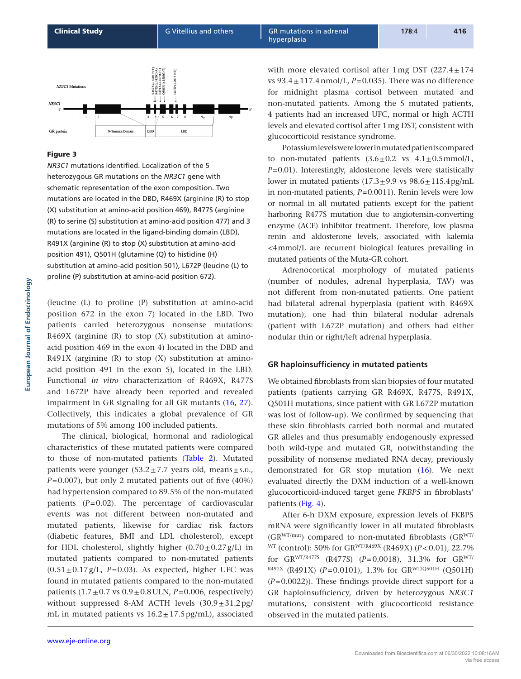<span id="page-5-0"></span>

# Figure 3

*NR3C1* mutations identified. Localization of the 5 heterozygous GR mutations on the *NR3C1* gene with schematic representation of the exon composition. Two mutations are located in the DBD, R469X (arginine (R) to stop (X) substitution at amino-acid position 469), R477S (arginine (R) to serine (S) substitution at amino-acid position 477) and 3 mutations are located in the ligand-binding domain (LBD), R491X (arginine (R) to stop (X) substitution at amino-acid position 491), Q501H (glutamine (Q) to histidine (H) substitution at amino-acid position 501), L672P (leucine (L) to proline (P) substitution at amino-acid position 672).

(leucine (L) to proline (P) substitution at amino-acid position 672 in the exon 7) located in the LBD. Two patients carried heterozygous nonsense mutations: R469X (arginine  $(R)$  to stop  $(X)$  substitution at aminoacid position 469 in the exon 4) located in the DBD and R491X (arginine  $(R)$  to stop  $(X)$  substitution at aminoacid position 491 in the exon 5), located in the LBD. Functional *in vitro* characterization of R469X, R477S and L672P have already been reported and revealed impairment in GR signaling for all GR mutants ([16](#page-11-15), [27](#page-12-1)). Collectively, this indicates a global prevalence of GR mutations of 5% among 100 included patients.

The clinical, biological, hormonal and radiological characteristics of these mutated patients were compared to those of non-mutated patients [\(Table 2](#page-6-0)). Mutated patients were younger  $(53.2 \pm 7.7)$  years old, means  $\pm$  s.p., *P*=0.007), but only 2 mutated patients out of five (40%) had hypertension compared to 89.5% of the non-mutated patients (*P*=0.02). The percentage of cardiovascular events was not different between non-mutated and mutated patients, likewise for cardiac risk factors (diabetic features, BMI and LDL cholesterol), except for HDL cholesterol, slightly higher  $(0.70 \pm 0.27 \text{ g/L})$  in mutated patients compared to non-mutated patients  $(0.51 \pm 0.17 \text{ g/L}$ , *P*=0.03). As expected, higher UFC was found in mutated patients compared to the non-mutated patients  $(1.7 \pm 0.7 \text{ vs } 0.9 \pm 0.8 \text{ ULN}, P = 0.006, \text{ respectively})$ without suppressed 8-AM ACTH levels  $(30.9 \pm 31.2 \text{ pg})$ mL in mutated patients vs  $16.2 \pm 17.5$  pg/mL), associated

www.eje-online.org

with more elevated cortisol after  $1 \text{ mg }$  DST (227.4 $\pm$ 174 vs  $93.4 \pm 117.4$  nmol/L,  $P=0.035$ ). There was no difference for midnight plasma cortisol between mutated and non-mutated patients. Among the 5 mutated patients, 4 patients had an increased UFC, normal or high ACTH levels and elevated cortisol after 1mg DST, consistent with glucocorticoid resistance syndrome.

Potassium levels were lower in mutated patients compared to non-mutated patients  $(3.6 \pm 0.2 \text{ vs } 4.1 \pm 0.5 \text{ mmol/L})$ , *P*=0.01). Interestingly, aldosterone levels were statistically lower in mutated patients  $(17.3 \pm 9.9 \text{ vs } 98.6 \pm 115.4 \text{ pg/mL})$ in non-mutated patients, *P*=0.0011). Renin levels were low or normal in all mutated patients except for the patient harboring R477S mutation due to angiotensin-converting enzyme (ACE) inhibitor treatment. Therefore, low plasma renin and aldosterone levels, associated with kalemia <4mmol/L are recurrent biological features prevailing in mutated patients of the Muta-GR cohort.

Adrenocortical morphology of mutated patients (number of nodules, adrenal hyperplasia, TAV) was not different from non-mutated patients. One patient had bilateral adrenal hyperplasia (patient with R469X mutation), one had thin bilateral nodular adrenals (patient with L672P mutation) and others had either nodular thin or right/left adrenal hyperplasia.

# **GR haploinsufficiency in mutated patients**

We obtained fibroblasts from skin biopsies of four mutated patients (patients carrying GR R469X, R477S, R491X, Q501H mutations, since patient with GR L672P mutation was lost of follow-up). We confirmed by sequencing that these skin fibroblasts carried both normal and mutated GR alleles and thus presumably endogenously expressed both wild-type and mutated GR, notwithstanding the possibility of nonsense mediated RNA decay, previously demonstrated for GR stop mutation ([16](#page-11-15)). We next evaluated directly the DXM induction of a well-known glucocorticoid-induced target gene *FKBP5* in fibroblasts' patients ([Fig. 4](#page-7-0)).

After 6-h DXM exposure, expression levels of FKBP5 mRNA were significantly lower in all mutated fibroblasts  $(GR^{WT/mut})$  compared to non-mutated fibroblasts  $(GR^{WT/m})$ WT (control): 50% for GRWT/R469X (R469X) (*P*<0.01), 22.7% for GRWT/R477S (R477S) (*P*=0.0018), 31.3% for GRWT/ <sup>R491X</sup> (R491X) ( $P=0.0101$ ), 1.3% for GR<sup>WT/Q501H</sup> (Q501H) (*P*=0.0022)). These findings provide direct support for a GR haploinsufficiency, driven by heterozygous *NR3C1* mutations, consistent with glucocorticoid resistance observed in the mutated patients.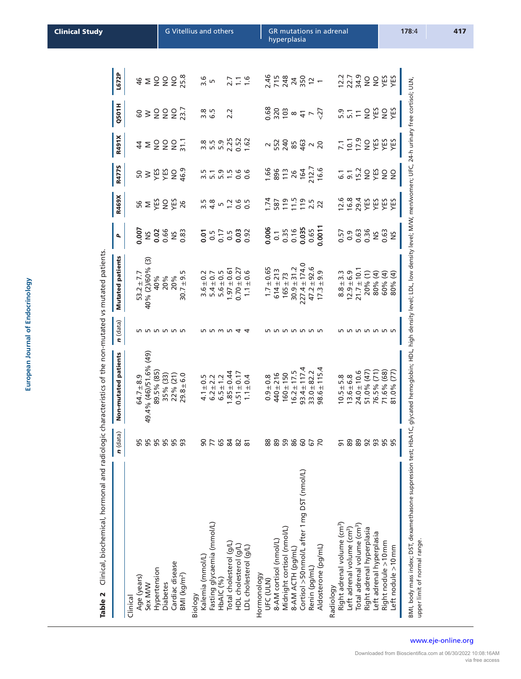| ì |
|---|
|   |
|   |
|   |
|   |
|   |
|   |
|   |
|   |
|   |
| Ì |
|   |
|   |
|   |
|   |
|   |
|   |
|   |
|   |
|   |
|   |
|   |
|   |
|   |
|   |
|   |
|   |
|   |
|   |
|   |
|   |
|   |
|   |
|   |
|   |
|   |
|   |
|   |
|   |
| ۱ |
|   |
|   |
|   |
|   |
|   |
|   |
|   |

Table 2 Clinical, biochemical, hormonal and radiologic characteristics of the non-mutated vs mutated patients. Table 2 Clinical, biochemical, hormonal and radiologic characteristics of the non-mutated vs mutated patients.

<span id="page-6-0"></span>

| <b>Mutated patients</b><br>40% (2)/60% (3)<br>$227.4 \pm 174.0$<br>$47.2 \pm 92.6$<br>$30.9 + 31.2$<br>$1.7 \pm 0.65$<br>$0.70 \pm 0.27$<br>$1.97 \pm 0.61$<br>$21.7 \pm 10.1$<br>$614 \pm 213$<br>$\pm 0.6$<br>$5.6 \pm 0.5$<br>$30.7 + 9.5$<br>$3.6 \pm 0.2$<br>$5.4 \pm 0.7$<br>9.9<br>$\frac{3}{3}$<br>$12.9 \pm 6.9$<br>$53.2 \pm 7.7$<br>$165 \pm 73$<br>20%<br>20%<br>40%<br>$8.8 + 3$<br>$\pm$<br>17.3<br>$n$ (data)<br><b>555555</b><br><b>565656</b><br><u>n</u> m n<br>4<br>LO<br>49.4% (46)/51.6% (49)<br>Non-mutated patients<br>$98.6 \pm 115.4$<br>$93.4 \pm 117.4$<br>$33.0 + 82.2$<br>$24.0 \pm 10.6$<br>$16.2 \pm 17.5$<br>51.0% (47)<br>89.5% (85)<br>$1.85 \pm 0.44$<br>$0.51 \pm 0.17$<br>$440 + 216$<br>$160 \pm 150$<br>$29.8 + 6.0$<br>22% (21)<br>$\pm 0.4$<br>35% (33)<br>$4.1 \pm 0.5$<br>$6.2 \pm 2.2$<br>$6.5 \pm 1.2$<br>$0.9 + 0.8$<br>$13.6 \pm 6.8$<br>$64.7 + 8.9$<br>$10.5 \pm 5.8$<br>É<br>$n$ (data)<br>95<br>95<br>555<br>93<br>$\overline{0}$<br>77<br>65<br>84<br>82<br>88<br>89<br>59<br>86<br>60<br>67<br>$\overline{70}$<br>$\overline{9}$<br>$89$<br>89<br>92<br>$\overline{\infty}$<br>Cortisol >50 nmol/L after 1 mg DST (nmol/L)<br>Fasting glycaemia (mmol/L)<br>Right adrenal volume (cm <sup>3</sup> )<br>Total adrenal volume (cm <sup>3</sup> )<br>Midnight cortisol (nmol/L)<br>Right adrenal hyperplasia<br>Left adrenal volume (cm <sup>3</sup> )<br>8-AM cortisol (nmol/L)<br>Total cholesterol (g/L)<br>HDL cholesterol (g/L)<br>Aldosterone (pg/mL)<br>LDL cholesterol (g/L)<br>8-AM ACTH (pg/mL)<br>Kalemia (mmol/L)<br>Cardiac disease<br>Renin (pg/mL)<br>Hypertension<br>Hormonology<br>BMI (kg/m <sup>2</sup> )<br>Age (years)<br>HbAIC (%)<br><b>DEC (DTV)</b><br><b>Diabetes</b><br>Sex M/W<br>Radiology<br>Biology<br>Clinical | 0.66<br>NS<br>0.007<br>0.02<br>0.83<br>0.17<br>0.07<br>SN<br>٩ | R4775<br>$\frac{1}{2}$<br><b>R469X</b><br>$\frac{1}{2}$ $\frac{1}{2}$ | <b>R491X</b>                      | <b>Q501H</b>   | L672P             |
|--------------------------------------------------------------------------------------------------------------------------------------------------------------------------------------------------------------------------------------------------------------------------------------------------------------------------------------------------------------------------------------------------------------------------------------------------------------------------------------------------------------------------------------------------------------------------------------------------------------------------------------------------------------------------------------------------------------------------------------------------------------------------------------------------------------------------------------------------------------------------------------------------------------------------------------------------------------------------------------------------------------------------------------------------------------------------------------------------------------------------------------------------------------------------------------------------------------------------------------------------------------------------------------------------------------------------------------------------------------------------------------------------------------------------------------------------------------------------------------------------------------------------------------------------------------------------------------------------------------------------------------------------------------------------------------------------------------------------------------------------------------------------------------------------|----------------------------------------------------------------|-----------------------------------------------------------------------|-----------------------------------|----------------|-------------------|
|                                                                                                                                                                                                                                                                                                                                                                                                                                                                                                                                                                                                                                                                                                                                                                                                                                                                                                                                                                                                                                                                                                                                                                                                                                                                                                                                                                                                                                                                                                                                                                                                                                                                                                                                                                                                  |                                                                |                                                                       |                                   |                |                   |
|                                                                                                                                                                                                                                                                                                                                                                                                                                                                                                                                                                                                                                                                                                                                                                                                                                                                                                                                                                                                                                                                                                                                                                                                                                                                                                                                                                                                                                                                                                                                                                                                                                                                                                                                                                                                  |                                                                |                                                                       |                                   |                |                   |
|                                                                                                                                                                                                                                                                                                                                                                                                                                                                                                                                                                                                                                                                                                                                                                                                                                                                                                                                                                                                                                                                                                                                                                                                                                                                                                                                                                                                                                                                                                                                                                                                                                                                                                                                                                                                  |                                                                |                                                                       |                                   |                | 46                |
|                                                                                                                                                                                                                                                                                                                                                                                                                                                                                                                                                                                                                                                                                                                                                                                                                                                                                                                                                                                                                                                                                                                                                                                                                                                                                                                                                                                                                                                                                                                                                                                                                                                                                                                                                                                                  |                                                                |                                                                       | $\sharp$ $\geq$                   | $\frac{6}{6}$  | $\geq$            |
|                                                                                                                                                                                                                                                                                                                                                                                                                                                                                                                                                                                                                                                                                                                                                                                                                                                                                                                                                                                                                                                                                                                                                                                                                                                                                                                                                                                                                                                                                                                                                                                                                                                                                                                                                                                                  |                                                                |                                                                       |                                   |                |                   |
|                                                                                                                                                                                                                                                                                                                                                                                                                                                                                                                                                                                                                                                                                                                                                                                                                                                                                                                                                                                                                                                                                                                                                                                                                                                                                                                                                                                                                                                                                                                                                                                                                                                                                                                                                                                                  |                                                                |                                                                       |                                   |                |                   |
|                                                                                                                                                                                                                                                                                                                                                                                                                                                                                                                                                                                                                                                                                                                                                                                                                                                                                                                                                                                                                                                                                                                                                                                                                                                                                                                                                                                                                                                                                                                                                                                                                                                                                                                                                                                                  |                                                                | 5.583<br>5888                                                         | 2227                              | 2227           | 2228              |
|                                                                                                                                                                                                                                                                                                                                                                                                                                                                                                                                                                                                                                                                                                                                                                                                                                                                                                                                                                                                                                                                                                                                                                                                                                                                                                                                                                                                                                                                                                                                                                                                                                                                                                                                                                                                  |                                                                |                                                                       |                                   |                |                   |
|                                                                                                                                                                                                                                                                                                                                                                                                                                                                                                                                                                                                                                                                                                                                                                                                                                                                                                                                                                                                                                                                                                                                                                                                                                                                                                                                                                                                                                                                                                                                                                                                                                                                                                                                                                                                  |                                                                |                                                                       |                                   |                |                   |
|                                                                                                                                                                                                                                                                                                                                                                                                                                                                                                                                                                                                                                                                                                                                                                                                                                                                                                                                                                                                                                                                                                                                                                                                                                                                                                                                                                                                                                                                                                                                                                                                                                                                                                                                                                                                  |                                                                |                                                                       |                                   |                |                   |
|                                                                                                                                                                                                                                                                                                                                                                                                                                                                                                                                                                                                                                                                                                                                                                                                                                                                                                                                                                                                                                                                                                                                                                                                                                                                                                                                                                                                                                                                                                                                                                                                                                                                                                                                                                                                  |                                                                | $\frac{5}{3}$ .8                                                      | 3.56                              | 3. 5<br>6. 5   | 3.6<br>5          |
|                                                                                                                                                                                                                                                                                                                                                                                                                                                                                                                                                                                                                                                                                                                                                                                                                                                                                                                                                                                                                                                                                                                                                                                                                                                                                                                                                                                                                                                                                                                                                                                                                                                                                                                                                                                                  |                                                                | 5.9<br>LN                                                             | 5.9                               |                |                   |
|                                                                                                                                                                                                                                                                                                                                                                                                                                                                                                                                                                                                                                                                                                                                                                                                                                                                                                                                                                                                                                                                                                                                                                                                                                                                                                                                                                                                                                                                                                                                                                                                                                                                                                                                                                                                  |                                                                |                                                                       | 2.25                              | 2.2            |                   |
|                                                                                                                                                                                                                                                                                                                                                                                                                                                                                                                                                                                                                                                                                                                                                                                                                                                                                                                                                                                                                                                                                                                                                                                                                                                                                                                                                                                                                                                                                                                                                                                                                                                                                                                                                                                                  | $0.5$<br>$0.03$<br>$0.92$                                      | $rac{6}{0}$<br>$7.60$<br>$-0.50$                                      | $0.52$<br>1.62                    |                | 7.76              |
|                                                                                                                                                                                                                                                                                                                                                                                                                                                                                                                                                                                                                                                                                                                                                                                                                                                                                                                                                                                                                                                                                                                                                                                                                                                                                                                                                                                                                                                                                                                                                                                                                                                                                                                                                                                                  |                                                                |                                                                       |                                   |                |                   |
|                                                                                                                                                                                                                                                                                                                                                                                                                                                                                                                                                                                                                                                                                                                                                                                                                                                                                                                                                                                                                                                                                                                                                                                                                                                                                                                                                                                                                                                                                                                                                                                                                                                                                                                                                                                                  |                                                                |                                                                       |                                   |                |                   |
|                                                                                                                                                                                                                                                                                                                                                                                                                                                                                                                                                                                                                                                                                                                                                                                                                                                                                                                                                                                                                                                                                                                                                                                                                                                                                                                                                                                                                                                                                                                                                                                                                                                                                                                                                                                                  |                                                                | 1.74                                                                  |                                   |                |                   |
|                                                                                                                                                                                                                                                                                                                                                                                                                                                                                                                                                                                                                                                                                                                                                                                                                                                                                                                                                                                                                                                                                                                                                                                                                                                                                                                                                                                                                                                                                                                                                                                                                                                                                                                                                                                                  |                                                                | 587                                                                   |                                   |                |                   |
|                                                                                                                                                                                                                                                                                                                                                                                                                                                                                                                                                                                                                                                                                                                                                                                                                                                                                                                                                                                                                                                                                                                                                                                                                                                                                                                                                                                                                                                                                                                                                                                                                                                                                                                                                                                                  | $0.006$<br>$0.750$<br>$0.050$                                  | $1.66$<br>896<br>78<br>26<br>119                                      | $\frac{25}{24}$ 85                | 3.808877       | 2.5<br>2.5<br>2.8 |
|                                                                                                                                                                                                                                                                                                                                                                                                                                                                                                                                                                                                                                                                                                                                                                                                                                                                                                                                                                                                                                                                                                                                                                                                                                                                                                                                                                                                                                                                                                                                                                                                                                                                                                                                                                                                  |                                                                |                                                                       |                                   |                |                   |
|                                                                                                                                                                                                                                                                                                                                                                                                                                                                                                                                                                                                                                                                                                                                                                                                                                                                                                                                                                                                                                                                                                                                                                                                                                                                                                                                                                                                                                                                                                                                                                                                                                                                                                                                                                                                  | 0.035                                                          | 164<br>212.7<br>16.6<br>$11.5$<br>$21.5$<br>$21.5$                    | $rac{3}{2}$ $\sim$ $\frac{20}{2}$ |                | $24$ $50$ $2 -$   |
|                                                                                                                                                                                                                                                                                                                                                                                                                                                                                                                                                                                                                                                                                                                                                                                                                                                                                                                                                                                                                                                                                                                                                                                                                                                                                                                                                                                                                                                                                                                                                                                                                                                                                                                                                                                                  | 0.65                                                           |                                                                       |                                   |                |                   |
|                                                                                                                                                                                                                                                                                                                                                                                                                                                                                                                                                                                                                                                                                                                                                                                                                                                                                                                                                                                                                                                                                                                                                                                                                                                                                                                                                                                                                                                                                                                                                                                                                                                                                                                                                                                                  | 0.0011                                                         |                                                                       |                                   |                |                   |
|                                                                                                                                                                                                                                                                                                                                                                                                                                                                                                                                                                                                                                                                                                                                                                                                                                                                                                                                                                                                                                                                                                                                                                                                                                                                                                                                                                                                                                                                                                                                                                                                                                                                                                                                                                                                  |                                                                |                                                                       |                                   |                |                   |
|                                                                                                                                                                                                                                                                                                                                                                                                                                                                                                                                                                                                                                                                                                                                                                                                                                                                                                                                                                                                                                                                                                                                                                                                                                                                                                                                                                                                                                                                                                                                                                                                                                                                                                                                                                                                  | 0.57                                                           |                                                                       | 7.1                               | 5.7            |                   |
|                                                                                                                                                                                                                                                                                                                                                                                                                                                                                                                                                                                                                                                                                                                                                                                                                                                                                                                                                                                                                                                                                                                                                                                                                                                                                                                                                                                                                                                                                                                                                                                                                                                                                                                                                                                                  | 0.9                                                            |                                                                       |                                   |                |                   |
|                                                                                                                                                                                                                                                                                                                                                                                                                                                                                                                                                                                                                                                                                                                                                                                                                                                                                                                                                                                                                                                                                                                                                                                                                                                                                                                                                                                                                                                                                                                                                                                                                                                                                                                                                                                                  | 0.63<br>0.36                                                   | e 의 등 등 이 등 이 등 이 등 이 등 이 등 이 등 이 등 이 있<br>이 이 등 이 있                  | <b>SUS SERVES</b>                 | $\overline{1}$ |                   |
|                                                                                                                                                                                                                                                                                                                                                                                                                                                                                                                                                                                                                                                                                                                                                                                                                                                                                                                                                                                                                                                                                                                                                                                                                                                                                                                                                                                                                                                                                                                                                                                                                                                                                                                                                                                                  | 20% (1)                                                        |                                                                       |                                   | 9 Xb S         |                   |
| 80% (4)<br>76.5% (71)<br>93<br>Left adrenal hyperplasia                                                                                                                                                                                                                                                                                                                                                                                                                                                                                                                                                                                                                                                                                                                                                                                                                                                                                                                                                                                                                                                                                                                                                                                                                                                                                                                                                                                                                                                                                                                                                                                                                                                                                                                                          | $^{15}_{0.63}$                                                 |                                                                       |                                   |                |                   |
| 60% (4)<br>71.6% (68)<br>95<br>Right nodule >10 mm                                                                                                                                                                                                                                                                                                                                                                                                                                                                                                                                                                                                                                                                                                                                                                                                                                                                                                                                                                                                                                                                                                                                                                                                                                                                                                                                                                                                                                                                                                                                                                                                                                                                                                                                               |                                                                |                                                                       |                                   |                |                   |
| $\widehat{a}$<br>80%<br>81.0% (77)<br>95<br>Left nodule >10 mm                                                                                                                                                                                                                                                                                                                                                                                                                                                                                                                                                                                                                                                                                                                                                                                                                                                                                                                                                                                                                                                                                                                                                                                                                                                                                                                                                                                                                                                                                                                                                                                                                                                                                                                                   | $\frac{5}{2}$                                                  | $\frac{0}{2}$                                                         |                                   | ΧĘ             |                   |

www.eje-online.org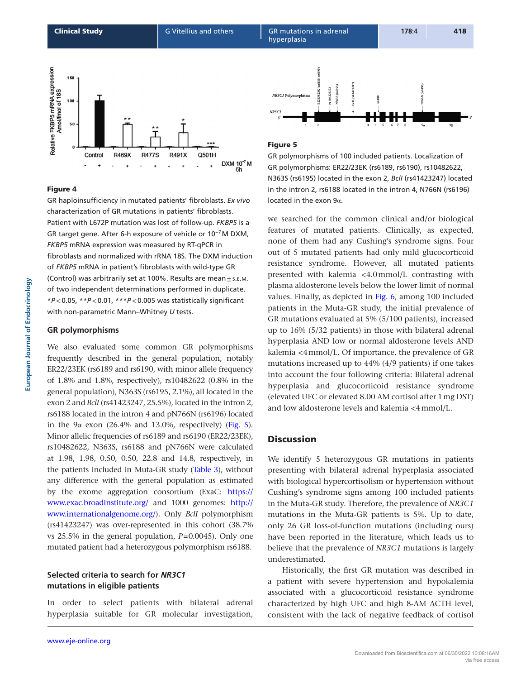<span id="page-7-0"></span>**Clinical Study Carry Contract Act Act Act GR Mutations in adrenal 178:4 418** hyperplasia



## Figure 4

GR haploinsufficiency in mutated patients' fibroblasts. *Ex vivo* characterization of GR mutations in patients' fibroblasts. Patient with L672P mutation was lost of follow-up. *FKBP5* is a GR target gene. After 6-h exposure of vehicle or 10<sup>-7</sup>M DXM, *FKBP5* mRNA expression was measured by RT-qPCR in fibroblasts and normalized with rRNA 18S. The DXM induction of *FKBP5* mRNA in patient's fibroblasts with wild-type GR (Control) was arbitrarily set at 100%. Results are mean $\pm$ s.E.M. of two independent determinations performed in duplicate. \**P*<0.05, \*\**P*<0.01, \*\*\**P*<0.005 was statistically significant with non-parametric Mann–Whitney *U* tests.

## **GR polymorphisms**

We also evaluated some common GR polymorphisms frequently described in the general population, notably ER22/23EK (rs6189 and rs6190, with minor allele frequency of 1.8% and 1.8%, respectively), rs10482622 (0.8% in the general population), N363S (rs6195, 2.1%), all located in the exon 2 and *BclI* (rs41423247, 25.5%), located in the intron 2, rs6188 located in the intron 4 and pN766N (rs6196) located in the 9α exon  $(26.4\%$  and 13.0%, respectively) (Fig. 5). Minor allelic frequencies of rs6189 and rs6190 (ER22/23EK), rs10482622, N363S, rs6188 and pN766N were calculated at 1.98, 1.98, 0.50, 0.50, 22.8 and 14.8, respectively, in the patients included in Muta-GR study [\(Table 3](#page-8-0)), without any difference with the general population as estimated by the exome aggregation consortium (ExaC: [https://](https://www.exac.broadinstitute.org/) [www.exac.broadinstitute.org/](https://www.exac.broadinstitute.org/) and 1000 genomes: [http://](http://www.internationalgenome.org/) [www.internationalgenome.org/](http://www.internationalgenome.org/)). Only *BclI* polymorphism (rs41423247) was over-represented in this cohort (38.7% vs 25.5% in the general population, *P*=0.0045). Only one mutated patient had a heterozygous polymorphism rs6188.

# **Selected criteria to search for** *NR3C1* **mutations in eligible patients**

In order to select patients with bilateral adrenal hyperplasia suitable for GR molecular investigation,



#### Figure 5

GR polymorphisms of 100 included patients. Localization of GR polymorphisms: ER22/23EK (rs6189, rs6190), rs10482622, N363S (rs6195) located in the exon 2, *BclI* (rs41423247) located in the intron 2, rs6188 located in the intron 4, N766N (rs6196) located in the exon 9α.

we searched for the common clinical and/or biological features of mutated patients. Clinically, as expected, none of them had any Cushing's syndrome signs. Four out of 5 mutated patients had only mild glucocorticoid resistance syndrome. However, all mutated patients presented with kalemia <4.0mmol/L contrasting with plasma aldosterone levels below the lower limit of normal values. Finally, as depicted in [Fig. 6,](#page-8-0) among 100 included patients in the Muta-GR study, the initial prevalence of GR mutations evaluated at 5% (5/100 patients), increased up to 16% (5/32 patients) in those with bilateral adrenal hyperplasia AND low or normal aldosterone levels AND kalemia <4mmol/L. Of importance, the prevalence of GR mutations increased up to 44% (4/9 patients) if one takes into account the four following criteria: Bilateral adrenal hyperplasia and glucocorticoid resistance syndrome (elevated UFC or elevated 8.00 AM cortisol after 1mg DST) and low aldosterone levels and kalemia <4mmol/L.

# **Discussion**

We identify 5 heterozygous GR mutations in patients presenting with bilateral adrenal hyperplasia associated with biological hypercortisolism or hypertension without Cushing's syndrome signs among 100 included patients in the Muta-GR study. Therefore, the prevalence of *NR3C1* mutations in the Muta-GR patients is 5%. Up to date, only 26 GR loss-of-function mutations (including ours) have been reported in the literature, which leads us to believe that the prevalence of *NR3C1* mutations is largely underestimated.

Historically, the first GR mutation was described in a patient with severe hypertension and hypokalemia associated with a glucocorticoid resistance syndrome characterized by high UFC and high 8-AM ACTH level, consistent with the lack of negative feedback of cortisol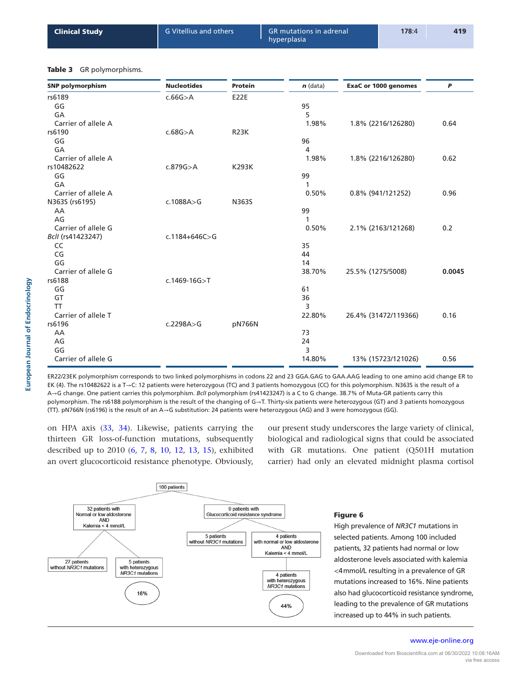<span id="page-8-0"></span>

| <b>G</b> Vitellius and others<br><b>Clinical Study</b><br>hyperplasia | <b>GR</b> mutations in adrenal<br>178:4 | 419 |
|-----------------------------------------------------------------------|-----------------------------------------|-----|
|-----------------------------------------------------------------------|-----------------------------------------|-----|

#### Table 3 GR polymorphisms.

| <b>SNP polymorphism</b> | <b>Nucleotides</b>  | <b>Protein</b> | $n$ (data) | <b>ExaC or 1000 genomes</b> | P      |
|-------------------------|---------------------|----------------|------------|-----------------------------|--------|
| rs6189                  | c.66G > A           | <b>E22E</b>    |            |                             |        |
| GG                      |                     |                | 95         |                             |        |
| GA                      |                     |                | 5          |                             |        |
| Carrier of allele A     |                     |                | 1.98%      | 1.8% (2216/126280)          | 0.64   |
| rs6190                  | c.68G > A           | <b>R23K</b>    |            |                             |        |
| GG                      |                     |                | 96         |                             |        |
| GA                      |                     |                | 4          |                             |        |
| Carrier of allele A     |                     |                | 1.98%      | 1.8% (2216/126280)          | 0.62   |
| rs10482622              | c.879G > A          | <b>K293K</b>   |            |                             |        |
| GG                      |                     |                | 99         |                             |        |
| GA                      |                     |                | 1          |                             |        |
| Carrier of allele A     |                     |                | 0.50%      | 0.8% (941/121252)           | 0.96   |
| N363S (rs6195)          | c.1088A > G         | N363S          |            |                             |        |
| AA                      |                     |                | 99         |                             |        |
| AG                      |                     |                | 1          |                             |        |
| Carrier of allele G     |                     |                | 0.50%      | 2.1% (2163/121268)          | 0.2    |
| Bcll (rs41423247)       | $c.1184 + 646C > G$ |                |            |                             |        |
| CC                      |                     |                | 35         |                             |        |
| CG                      |                     |                | 44         |                             |        |
| GG                      |                     |                | 14         |                             |        |
| Carrier of allele G     |                     |                | 38.70%     | 25.5% (1275/5008)           | 0.0045 |
| rs6188                  | $c.1469 - 16G > T$  |                |            |                             |        |
| GG                      |                     |                | 61         |                             |        |
| GT                      |                     |                | 36         |                             |        |
| <b>TT</b>               |                     |                | 3          |                             |        |
| Carrier of allele T     |                     |                | 22.80%     | 26.4% (31472/119366)        | 0.16   |
| rs6196                  | c.2298A > G         | pN766N         |            |                             |        |
| AA                      |                     |                | 73         |                             |        |
| AG                      |                     |                | 24         |                             |        |
| GG                      |                     |                | 3          |                             |        |
| Carrier of allele G     |                     |                | 14.80%     | 13% (15723/121026)          | 0.56   |

ER22/23EK polymorphism corresponds to two linked polymorphisms in codons 22 and 23 GGA.GAG to GAA.AAG leading to one amino acid change ER to EK (4). The rs10482622 is a T→C: 12 patients were heterozygous (TC) and 3 patients homozygous (CC) for this polymorphism. N363S is the result of a A→G change. One patient carries this polymorphism. *BclI* polymorphism (rs41423247) is a C to G change. 38.7% of Muta-GR patients carry this polymorphism. The rs6188 polymorphism is the result of the changing of G→T. Thirty-six patients were heterozygous (GT) and 3 patients homozygous (TT). pN766N (rs6196) is the result of an A→G substitution: 24 patients were heterozygous (AG) and 3 were homozygous (GG).

on HPA axis [\(33,](#page-12-7) [34](#page-12-8)). Likewise, patients carrying the thirteen GR loss-of-function mutations, subsequently described up to 2010 [\(6](#page-11-5), [7,](#page-11-6) [8](#page-11-7), [10,](#page-11-9) [12](#page-11-11), [13,](#page-11-12) [15](#page-11-14)), exhibited an overt glucocorticoid resistance phenotype. Obviously, our present study underscores the large variety of clinical, biological and radiological signs that could be associated with GR mutations. One patient (Q501H mutation carrier) had only an elevated midnight plasma cortisol



#### Figure 6

High prevalence of *NR3C1* mutations in selected patients. Among 100 included patients, 32 patients had normal or low aldosterone levels associated with kalemia <4mmol/L resulting in a prevalence of GR mutations increased to 16%. Nine patients also had glucocorticoid resistance syndrome, leading to the prevalence of GR mutations increased up to 44% in such patients.

#### www.eje-online.org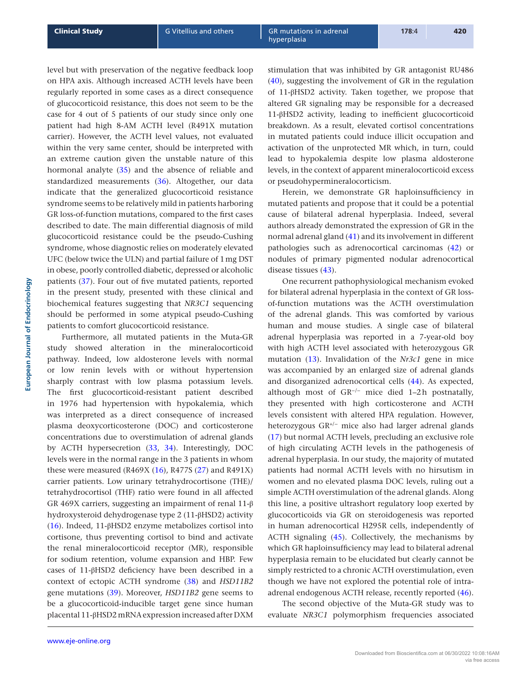level but with preservation of the negative feedback loop on HPA axis. Although increased ACTH levels have been regularly reported in some cases as a direct consequence of glucocorticoid resistance, this does not seem to be the case for 4 out of 5 patients of our study since only one patient had high 8-AM ACTH level (R491X mutation carrier). However, the ACTH level values, not evaluated within the very same center, should be interpreted with an extreme caution given the unstable nature of this hormonal analyte ([35\)](#page-12-9) and the absence of reliable and standardized measurements [\(36](#page-12-10)). Altogether, our data indicate that the generalized glucocorticoid resistance syndrome seems to be relatively mild in patients harboring GR loss-of-function mutations, compared to the first cases described to date. The main differential diagnosis of mild glucocorticoid resistance could be the pseudo-Cushing syndrome, whose diagnostic relies on moderately elevated UFC (below twice the ULN) and partial failure of 1mg DST in obese, poorly controlled diabetic, depressed or alcoholic patients [\(37](#page-12-11)). Four out of five mutated patients, reported in the present study, presented with these clinical and biochemical features suggesting that *NR3C1* sequencing should be performed in some atypical pseudo-Cushing patients to comfort glucocorticoid resistance.

Furthermore, all mutated patients in the Muta-GR study showed alteration in the mineralocorticoid pathway. Indeed, low aldosterone levels with normal or low renin levels with or without hypertension sharply contrast with low plasma potassium levels. The first glucocorticoid-resistant patient described in 1976 had hypertension with hypokalemia, which was interpreted as a direct consequence of increased plasma deoxycorticosterone (DOC) and corticosterone concentrations due to overstimulation of adrenal glands by ACTH hypersecretion ([33](#page-12-7), [34\)](#page-12-8). Interestingly, DOC levels were in the normal range in the 3 patients in whom these were measured (R469X  $(16)$  $(16)$  $(16)$ , R477S  $(27)$  $(27)$  $(27)$  and R491X) carrier patients. Low urinary tetrahydrocortisone (THE)/ tetrahydrocortisol (THF) ratio were found in all affected GR 469X carriers, suggesting an impairment of renal 11-β hydroxysteroid dehydrogenase type 2 (11-βHSD2) activity [\(16\)](#page-11-15). Indeed, 11-βHSD2 enzyme metabolizes cortisol into cortisone, thus preventing cortisol to bind and activate the renal mineralocorticoid receptor (MR), responsible for sodium retention, volume expansion and HBP. Few cases of 11-βHSD2 deficiency have been described in a context of ectopic ACTH syndrome ([38\)](#page-12-12) and *HSD11B2* gene mutations [\(39](#page-12-13)). Moreover, *HSD11B2* gene seems to be a glucocorticoid-inducible target gene since human placental 11-βHSD2 mRNA expression increased after DXM stimulation that was inhibited by GR antagonist RU486 [\(40\)](#page-12-14), suggesting the involvement of GR in the regulation of 11-βHSD2 activity. Taken together, we propose that altered GR signaling may be responsible for a decreased 11-βHSD2 activity, leading to inefficient glucocorticoid breakdown. As a result, elevated cortisol concentrations in mutated patients could induce illicit occupation and activation of the unprotected MR which, in turn, could lead to hypokalemia despite low plasma aldosterone levels, in the context of apparent mineralocorticoid excess or pseudohypermineralocorticism.

Herein, we demonstrate GR haploinsufficiency in mutated patients and propose that it could be a potential cause of bilateral adrenal hyperplasia. Indeed, several authors already demonstrated the expression of GR in the normal adrenal gland [\(41\)](#page-12-15) and its involvement in different pathologies such as adrenocortical carcinomas ([42\)](#page-12-16) or nodules of primary pigmented nodular adrenocortical disease tissues ([43](#page-12-17)).

One recurrent pathophysiological mechanism evoked for bilateral adrenal hyperplasia in the context of GR lossof-function mutations was the ACTH overstimulation of the adrenal glands. This was comforted by various human and mouse studies. A single case of bilateral adrenal hyperplasia was reported in a 7-year-old boy with high ACTH level associated with heterozygous GR mutation [\(13\)](#page-11-12). Invalidation of the *Nr3c1* gene in mice was accompanied by an enlarged size of adrenal glands and disorganized adrenocortical cells [\(44\)](#page-12-18). As expected, although most of GR<sup>−</sup>/<sup>−</sup> mice died 1–2h postnatally, they presented with high corticosterone and ACTH levels consistent with altered HPA regulation. However, heterozygous GR+/<sup>−</sup> mice also had larger adrenal glands [\(17\)](#page-11-16) but normal ACTH levels, precluding an exclusive role of high circulating ACTH levels in the pathogenesis of adrenal hyperplasia. In our study, the majority of mutated patients had normal ACTH levels with no hirsutism in women and no elevated plasma DOC levels, ruling out a simple ACTH overstimulation of the adrenal glands. Along this line, a positive ultrashort regulatory loop exerted by glucocorticoids via GR on steroidogenesis was reported in human adrenocortical H295R cells, independently of ACTH signaling [\(45](#page-12-19)). Collectively, the mechanisms by which GR haploinsufficiency may lead to bilateral adrenal hyperplasia remain to be elucidated but clearly cannot be simply restricted to a chronic ACTH overstimulation, even though we have not explored the potential role of intraadrenal endogenous ACTH release, recently reported [\(46](#page-12-20)).

The second objective of the Muta-GR study was to evaluate *NR3C1* polymorphism frequencies associated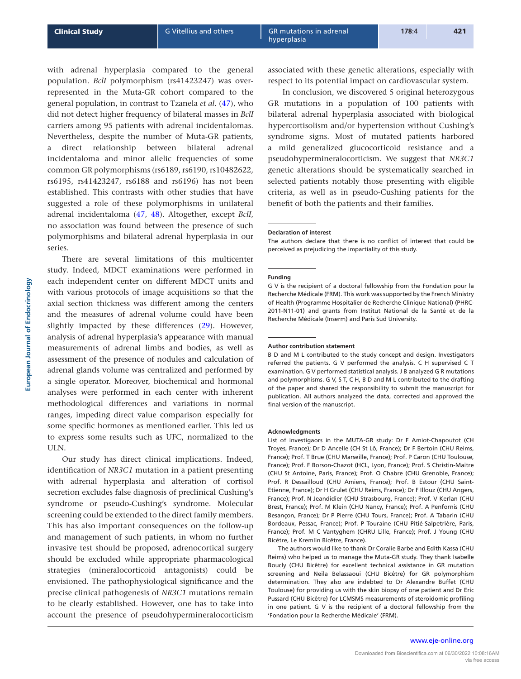with adrenal hyperplasia compared to the general population. *BclI* polymorphism (rs41423247) was overrepresented in the Muta-GR cohort compared to the general population, in contrast to Tzanela *et al.* [\(47\)](#page-12-21), who did not detect higher frequency of bilateral masses in *BclI* carriers among 95 patients with adrenal incidentalomas. Nevertheless, despite the number of Muta-GR patients, a direct relationship between bilateral adrenal incidentaloma and minor allelic frequencies of some common GR polymorphisms (rs6189, rs6190, rs10482622, rs6195, rs41423247, rs6188 and rs6196) has not been established. This contrasts with other studies that have suggested a role of these polymorphisms in unilateral adrenal incidentaloma [\(47,](#page-12-21) [48\)](#page-12-22). Altogether, except *BclI*, no association was found between the presence of such polymorphisms and bilateral adrenal hyperplasia in our series.

There are several limitations of this multicenter study. Indeed, MDCT examinations were performed in each independent center on different MDCT units and with various protocols of image acquisitions so that the axial section thickness was different among the centers and the measures of adrenal volume could have been slightly impacted by these differences ([29\)](#page-12-3). However, analysis of adrenal hyperplasia's appearance with manual measurements of adrenal limbs and bodies, as well as assessment of the presence of nodules and calculation of adrenal glands volume was centralized and performed by a single operator. Moreover, biochemical and hormonal analyses were performed in each center with inherent methodological differences and variations in normal ranges, impeding direct value comparison especially for some specific hormones as mentioned earlier. This led us to express some results such as UFC, normalized to the ULN.

Our study has direct clinical implications. Indeed, identification of *NR3C1* mutation in a patient presenting with adrenal hyperplasia and alteration of cortisol secretion excludes false diagnosis of preclinical Cushing's syndrome or pseudo-Cushing's syndrome. Molecular screening could be extended to the direct family members. This has also important consequences on the follow-up and management of such patients, in whom no further invasive test should be proposed, adrenocortical surgery should be excluded while appropriate pharmacological strategies (mineralocorticoid antagonists) could be envisioned. The pathophysiological significance and the precise clinical pathogenesis of *NR3C1* mutations remain to be clearly established. However, one has to take into account the presence of pseudohypermineralocorticism

associated with these genetic alterations, especially with respect to its potential impact on cardiovascular system.

In conclusion, we discovered 5 original heterozygous GR mutations in a population of 100 patients with bilateral adrenal hyperplasia associated with biological hypercortisolism and/or hypertension without Cushing's syndrome signs. Most of mutated patients harbored a mild generalized glucocorticoid resistance and a pseudohypermineralocorticism. We suggest that *NR3C1* genetic alterations should be systematically searched in selected patients notably those presenting with eligible criteria, as well as in pseudo-Cushing patients for the benefit of both the patients and their families.

#### **Declaration of interest**

The authors declare that there is no conflict of interest that could be perceived as prejudicing the impartiality of this study.

#### **Funding**

G V is the recipient of a doctoral fellowship from the Fondation pour la Recherche Médicale (FRM). This work was supported by the French Ministry of Health (Programme Hospitalier de Recherche Clinique National) (PHRC-2011-N11-01) and grants from Institut National de la Santé et de la Recherche Médicale (Inserm) and Paris Sud University.

#### **Author contribution statement**

B D and M L contributed to the study concept and design. Investigators referred the patients. G V performed the analysis. C H supervised C T examination. G V performed statistical analysis. J B analyzed G R mutations and polymorphisms. G V, S T, C H, B D and M L contributed to the drafting of the paper and shared the responsibility to submit the manuscript for publication. All authors analyzed the data, corrected and approved the final version of the manuscript.

#### **Acknowledgments**

List of investigaors in the MUTA-GR study: Dr F Amiot-Chapoutot (CH Troyes, France); Dr D Ancelle (CH St Lô, France); Dr F Bertoin (CHU Reims, France); Prof. T Brue (CHU Marseille, France); Prof. P Caron (CHU Toulouse, France); Prof. F Borson-Chazot (HCL, Lyon, France); Prof. S Christin-Maitre (CHU St Antoine, Paris, France); Prof. O Chabre (CHU Grenoble, France); Prof. R Dessailloud (CHU Amiens, France); Prof. B Estour (CHU Saint-Etienne, France); Dr H Grulet (CHU Reims, France); Dr F Illouz (CHU Angers, France); Prof. N Jeandidier (CHU Strasbourg, France); Prof. V Kerlan (CHU Brest, France); Prof. M Klein (CHU Nancy, France); Prof. A Penfornis (CHU Besançon, France); Dr P Pierre (CHU Tours, France); Prof. A Tabarin (CHU Bordeaux, Pessac, France); Prof. P Touraine (CHU Pitié-Salpetrière, Paris, France); Prof. M C Vantyghem (CHRU Lille, France); Prof. J Young (CHU Bicêtre, Le Kremlin Bicêtre, France).

The authors would like to thank Dr Coralie Barbe and Edith Kassa (CHU Reims) who helped us to manage the Muta-GR study. They thank Isabelle Boucly (CHU Bicêtre) for excellent technical assistance in GR mutation screening and Neila Belassaoui (CHU Bicêtre) for GR polymorphism determination. They also are indebted to Dr Alexandre Buffet (CHU Toulouse) for providing us with the skin biopsy of one patient and Dr Eric Pussard (CHU Bicêtre) for LCMSMS measurements of steroidomic profiling in one patient. G V is the recipient of a doctoral fellowship from the 'Fondation pour la Recherche Médicale' (FRM).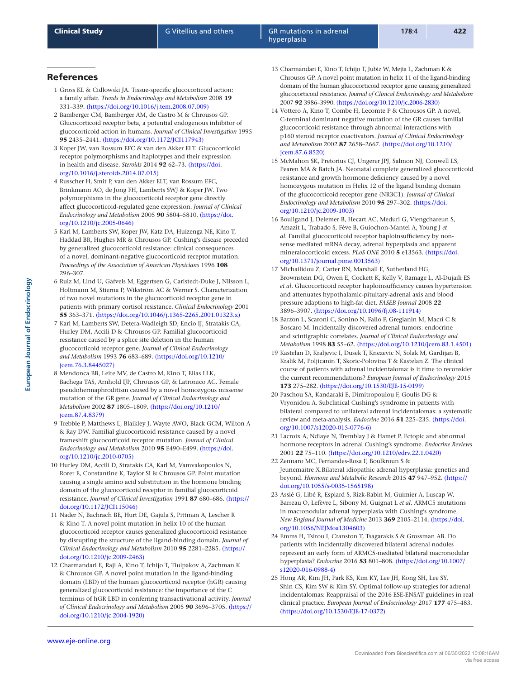# References

- <span id="page-11-0"></span>1 Gross KL & Cidlowski JA. Tissue-specific glucocorticoid action: a family affair. *Trends in Endocrinology and Metabolism* 2008 **19** 331–339. [\(https://doi.org/10.1016/j.tem.2008.07.009\)](https://doi.org/10.1016/j.tem.2008.07.009)
- <span id="page-11-1"></span>2 Bamberger CM, Bamberger AM, de Castro M & Chrousos GP. Glucocorticoid receptor beta, a potential endogenous inhibitor of glucocorticoid action in humans. *Journal of Clinical Investigation* 1995 **95** 2435–2441. [\(https://doi.org/10.1172/JCI117943\)](https://doi.org/10.1172/JCI117943)
- <span id="page-11-2"></span>3 Koper JW, van Rossum EFC & van den Akker ELT. Glucocorticoid receptor polymorphisms and haplotypes and their expression in health and disease. *Steroids* 2014 **92** 62–73. [\(https://doi.](https://doi.org/10.1016/j.steroids.2014.07.015) [org/10.1016/j.steroids.2014.07.015\)](https://doi.org/10.1016/j.steroids.2014.07.015)
- <span id="page-11-3"></span>4 Russcher H, Smit P, van den Akker ELT, van Rossum EFC, Brinkmann AO, de Jong FH, Lamberts SWJ & Koper JW. Two polymorphisms in the glucocorticoid receptor gene directly affect glucocorticoid-regulated gene expression. *Journal of Clinical Endocrinology and Metabolism* 2005 **90** 5804–5810. [\(https://doi.](https://doi.org/10.1210/jc.2005-0646) [org/10.1210/jc.2005-0646\)](https://doi.org/10.1210/jc.2005-0646)
- <span id="page-11-4"></span>5 Karl M, Lamberts SW, Koper JW, Katz DA, Huizenga NE, Kino T, Haddad BR, Hughes MR & Chrousos GP. Cushing's disease preceded by generalized glucocorticoid resistance: clinical consequences of a novel, dominant-negative glucocorticoid receptor mutation. *Proceedings of the Association of American Physicians* 1996 **108** 296–307.
- <span id="page-11-5"></span>6 Ruiz M, Lind U, Gåfvels M, Eggertsen G, Carlstedt-Duke J, Nilsson L, Holtmann M, Stierna P, Wikström AC & Werner S. Characterization of two novel mutations in the glucocorticoid receptor gene in patients with primary cortisol resistance. *Clinical Endocrinology* 2001 **55** 363–371. [\(https://doi.org/10.1046/j.1365-2265.2001.01323.x\)](https://doi.org/10.1046/j.1365-2265.2001.01323.x)
- <span id="page-11-6"></span>7 Karl M, Lamberts SW, Detera-Wadleigh SD, Encio IJ, Stratakis CA, Hurley DM, Accili D & Chrousos GP. Familial glucocorticoid resistance caused by a splice site deletion in the human glucocorticoid receptor gene. *Journal of Clinical Endocrinology and Metabolism* 1993 **76** 683–689. [\(https://doi.org/10.1210/](https://doi.org/10.1210/jcem.76.3.8445027) [jcem.76.3.8445027\)](https://doi.org/10.1210/jcem.76.3.8445027)
- <span id="page-11-7"></span>8 Mendonca BB, Leite MV, de Castro M, Kino T, Elias LLK, Bachega TAS, Arnhold IJP, Chrousos GP, & Latronico AC. Female pseudohermaphroditism caused by a novel homozygous missense mutation of the GR gene. *Journal of Clinical Endocrinology and Metabolism* 2002 **87** 1805–1809. [\(https://doi.org/10.1210/](https://doi.org/10.1210/jcem.87.4.8379) [jcem.87.4.8379\)](https://doi.org/10.1210/jcem.87.4.8379)
- <span id="page-11-8"></span>9 Trebble P, Matthews L, Blaikley J, Wayte AWO, Black GCM, Wilton A & Ray DW. Familial glucocorticoid resistance caused by a novel frameshift glucocorticoid receptor mutation. *Journal of Clinical Endocrinology and Metabolism* 2010 **95** E490–E499. [\(https://doi.](https://doi.org/10.1210/jc.2010-0705) [org/10.1210/jc.2010-0705\)](https://doi.org/10.1210/jc.2010-0705)
- <span id="page-11-9"></span>10 Hurley DM, Accili D, Stratakis CA, Karl M, Vamvakopoulos N, Rorer E, Constantine K, Taylor SI & Chrousos GP. Point mutation causing a single amino acid substitution in the hormone binding domain of the glucocorticoid receptor in familial glucocorticoid resistance. *Journal of Clinical Investigation* 1991 **87** 680–686. [\(https://](https://doi.org/10.1172/JCI115046) [doi.org/10.1172/JCI115046\)](https://doi.org/10.1172/JCI115046)
- <span id="page-11-10"></span>11 Nader N, Bachrach BE, Hurt DE, Gajula S, Pittman A, Lescher R & Kino T. A novel point mutation in helix 10 of the human glucocorticoid receptor causes generalized glucocorticoid resistance by disrupting the structure of the ligand-binding domain. *Journal of Clinical Endocrinology and Metabolism* 2010 **95** 2281–2285. [\(https://](https://doi.org/10.1210/jc.2009-2463) [doi.org/10.1210/jc.2009-2463\)](https://doi.org/10.1210/jc.2009-2463)
- <span id="page-11-11"></span>12 Charmandari E, Raji A, Kino T, Ichijo T, Tiulpakov A, Zachman K & Chrousos GP. A novel point mutation in the ligand-binding domain (LBD) of the human glucocorticoid receptor (hGR) causing generalized glucocorticoid resistance: the importance of the C terminus of hGR LBD in conferring transactivational activity. *Journal of Clinical Endocrinology and Metabolism* 2005 **90** 3696–3705. [\(https://](https://doi.org/10.1210/jc.2004-1920) [doi.org/10.1210/jc.2004-1920\)](https://doi.org/10.1210/jc.2004-1920)
- <span id="page-11-12"></span>13 Charmandari E, Kino T, Ichijo T, Jubiz W, Mejia L, Zachman K & Chrousos GP. A novel point mutation in helix 11 of the ligand-binding domain of the human glucocorticoid receptor gene causing generalized glucocorticoid resistance. *Journal of Clinical Endocrinology and Metabolism* 2007 **92** 3986–3990. [\(https://doi.org/10.1210/jc.2006-2830\)](https://doi.org/10.1210/jc.2006-2830)
- <span id="page-11-13"></span>14 Vottero A, Kino T, Combe H, Lecomte P & Chrousos GP. A novel, C-terminal dominant negative mutation of the GR causes familial glucocorticoid resistance through abnormal interactions with p160 steroid receptor coactivators. *Journal of Clinical Endocrinology and Metabolism* 2002 **87** 2658–2667. [\(https://doi.org/10.1210/](https://doi.org/10.1210/jcem.87.6.8520) [jcem.87.6.8520\)](https://doi.org/10.1210/jcem.87.6.8520)
- <span id="page-11-14"></span>15 McMahon SK, Pretorius CJ, Ungerer JPJ, Salmon NJ, Conwell LS, Pearen MA & Batch JA. Neonatal complete generalized glucocorticoid resistance and growth hormone deficiency caused by a novel homozygous mutation in Helix 12 of the ligand binding domain of the glucocorticoid receptor gene (NR3C1). *Journal of Clinical Endocrinology and Metabolism* 2010 **95** 297–302. [\(https://doi.](https://doi.org/10.1210/jc.2009-1003) [org/10.1210/jc.2009-1003\)](https://doi.org/10.1210/jc.2009-1003)
- <span id="page-11-15"></span>16 Bouligand J, Delemer B, Hecart AC, Meduri G, Viengchareun S, Amazit L, Trabado S, Fève B, Guiochon-Mantel A, Young J *et al*. Familial glucocorticoid receptor haploinsufficiency by nonsense mediated mRNA decay, adrenal hyperplasia and apparent mineralocorticoid excess. *PLoS ONE* 2010 **5** e13563. [\(https://doi.](https://doi.org/10.1371/journal.pone.0013563) [org/10.1371/journal.pone.0013563\)](https://doi.org/10.1371/journal.pone.0013563)
- <span id="page-11-16"></span>17 Michailidou Z, Carter RN, Marshall E, Sutherland HG, Brownstein DG, Owen E, Cockett K, Kelly V, Ramage L, Al-Dujaili ES *et al*. Glucocorticoid receptor haploinsufficiency causes hypertension and attenuates hypothalamic-pituitary-adrenal axis and blood pressure adaptions to high-fat diet. *FASEB Journal* 2008 **22** 3896–3907. [\(https://doi.org/10.1096/fj.08-111914\)](https://doi.org/10.1096/fj.08-111914)
- <span id="page-11-17"></span>18 Barzon L, Scaroni C, Sonino N, Fallo F, Gregianin M, Macrì C & Boscaro M. Incidentally discovered adrenal tumors: endocrine and scintigraphic correlates. *Journal of Clinical Endocrinology and Metabolism* 1998 **83** 55–62. [\(https://doi.org/10.1210/jcem.83.1.4501\)](https://doi.org/10.1210/jcem.83.1.4501)
- <span id="page-11-18"></span>19 Kastelan D, Kraljevic I, Dusek T, Knezevic N, Solak M, Gardijan B, Kralik M, Poljicanin T, Skoric-Polovina T & Kastelan Z. The clinical course of patients with adrenal incidentaloma: is it time to reconsider the current recommendations? *European Journal of Endocrinology* 2015 **173** 275–282. [\(https://doi.org/10.1530/EJE-15-0199\)](https://doi.org/10.1530/EJE-15-0199)
- <span id="page-11-19"></span>20 Paschou SA, Kandaraki E, Dimitropoulou F, Goulis DG & Vryonidou A. Subclinical Cushing's syndrome in patients with bilateral compared to unilateral adrenal incidentalomas: a systematic review and meta-analysis. *Endocrine* 2016 **51** 225–235. [\(https://doi.](https://doi.org/10.1007/s12020-015-0776-6) [org/10.1007/s12020-015-0776-6\)](https://doi.org/10.1007/s12020-015-0776-6)
- <span id="page-11-20"></span>21 Lacroix A, Ndiaye N, Tremblay J & Hamet P. Ectopic and abnormal hormone receptors in adrenal Cushing's syndrome. *Endocrine Reviews* 2001 **22** 75–110. [\(https://doi.org/10.1210/edrv.22.1.0420\)](https://doi.org/10.1210/edrv.22.1.0420)
- <span id="page-11-21"></span>22 Zennaro MC, Fernandes-Rosa F, Boulkroun S & Jeunemaitre X.Bilateral idiopathic adrenal hyperplasia: genetics and beyond. *Hormone and Metabolic Research* 2015 **47** 947–952. [\(https://](https://doi.org/10.1055/s-0035-1565198) [doi.org/10.1055/s-0035-1565198\)](https://doi.org/10.1055/s-0035-1565198)
- <span id="page-11-22"></span>23 Assié G, Libé R, Espiard S, Rizk-Rabin M, Guimier A, Luscap W, Barreau O, Lefèvre L, Sibony M, Guignat L *et al*. ARMC5 mutations in macronodular adrenal hyperplasia with Cushing's syndrome. *New England Journal of Medicine* 2013 **369** 2105–2114. [\(https://doi.](https://doi.org/10.1056/NEJMoa1304603) [org/10.1056/NEJMoa1304603\)](https://doi.org/10.1056/NEJMoa1304603)
- <span id="page-11-23"></span>24 Emms H, Tsirou I, Cranston T, Tsagarakis S & Grossman AB. Do patients with incidentally discovered bilateral adrenal nodules represent an early form of ARMC5-mediated bilateral macronodular hyperplasia? *Endocrine* 2016 **53** 801–808. [\(https://doi.org/10.1007/](https://doi.org/10.1007/s12020-016-0988-4) [s12020-016-0988-4\)](https://doi.org/10.1007/s12020-016-0988-4)
- <span id="page-11-24"></span>25 Hong AR, Kim JH, Park KS, Kim KY, Lee JH, Kong SH, Lee SY, Shin CS, Kim SW & Kim SY. Optimal follow-up strategies for adrenal incidentalomas: Reappraisal of the 2016 ESE-ENSAT guidelines in real clinical practice. *European Journal of Endocrinology* 2017 **177** 475–483. [\(https://doi.org/10.1530/EJE-17-0372\)](https://doi.org/10.1530/EJE-17-0372)

www.eje-online.org

**European Journal of Endocrinology**

European Journal of Endocrinology